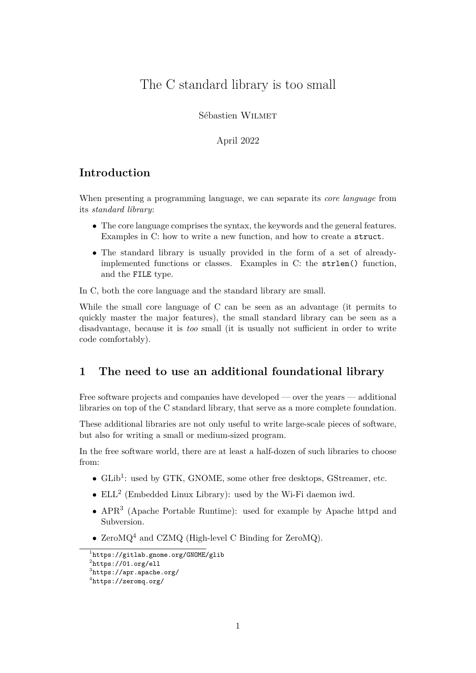# The C standard library is too small

Sébastien Wilmet

April 2022

#### **Introduction**

When presenting a programming language, we can separate its *core language* from its *standard library*:

- The core language comprises the syntax, the keywords and the general features. Examples in C: how to write a new function, and how to create a struct.
- The standard library is usually provided in the form of a set of alreadyimplemented functions or classes. Examples in C: the strlen() function, and the FILE type.

In C, both the core language and the standard library are small.

While the small core language of C can be seen as an advantage (it permits to quickly master the major features), the small standard library can be seen as a disadvantage, because it is *too* small (it is usually not sufficient in order to write code comfortably).

#### **1 The need to use an additional foundational library**

Free software projects and companies have developed — over the years — additional libraries on top of the C standard library, that serve as a more complete foundation.

These additional libraries are not only useful to write large-scale pieces of software, but also for writing a small or medium-sized program.

In the free software world, there are at least a half-dozen of such libraries to choose from:

- $\bullet$  GLib<sup>[1](#page-0-0)</sup>: used by GTK, GNOME, some other free desktops, GStreamer, etc.
- $\bullet$  ELL<sup>[2](#page-0-1)</sup> (Embedded Linux Library): used by the Wi-Fi daemon iwd.
- APR[3](#page-0-2) (Apache Portable Runtime): used for example by Apache httpd and Subversion.
- ZeroM $Q<sup>4</sup>$  $Q<sup>4</sup>$  $Q<sup>4</sup>$  and CZMQ (High-level C Binding for ZeroMQ).

<span id="page-0-0"></span><sup>1</sup> <https://gitlab.gnome.org/GNOME/glib>

<span id="page-0-1"></span> $^2$ <https://01.org/ell>

<span id="page-0-2"></span> $^3$ <https://apr.apache.org/>

<span id="page-0-3"></span> $^4$ <https://zeromq.org/>